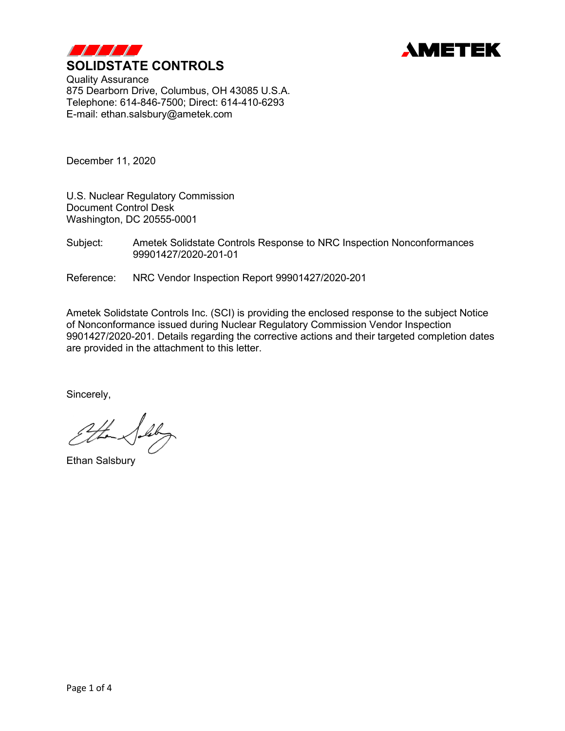



Quality Assurance 875 Dearborn Drive, Columbus, OH 43085 U.S.A. Telephone: 614-846-7500; Direct: 614-410-6293 E-mail: ethan.salsbury@ametek.com

December 11, 2020

U.S. Nuclear Regulatory Commission Document Control Desk Washington, DC 20555-0001

Subject: Ametek Solidstate Controls Response to NRC Inspection Nonconformances 99901427/2020-201-01

Reference: NRC Vendor Inspection Report 99901427/2020-201

Ametek Solidstate Controls Inc. (SCI) is providing the enclosed response to the subject Notice of Nonconformance issued during Nuclear Regulatory Commission Vendor Inspection 9901427/2020-201. Details regarding the corrective actions and their targeted completion dates are provided in the attachment to this letter.

Sincerely,

leby

Ethan Salsbury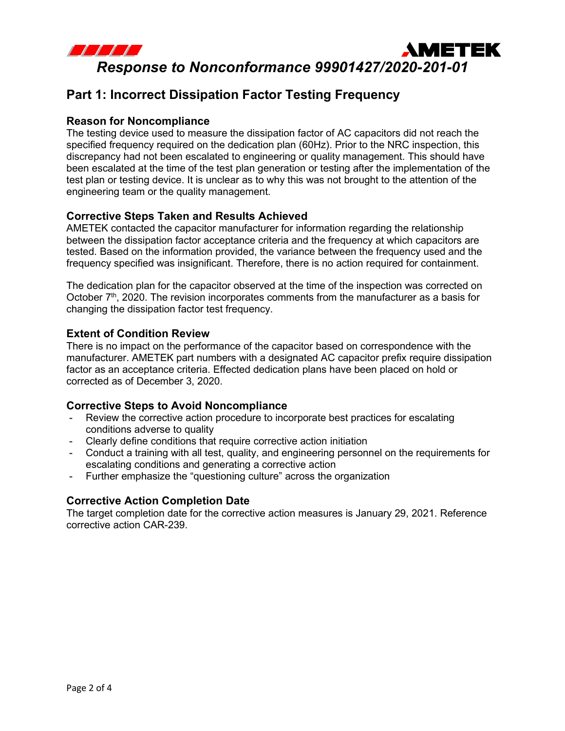

# **Part 1: Incorrect Dissipation Factor Testing Frequency**

# **Reason for Noncompliance**

The testing device used to measure the dissipation factor of AC capacitors did not reach the specified frequency required on the dedication plan (60Hz). Prior to the NRC inspection, this discrepancy had not been escalated to engineering or quality management. This should have been escalated at the time of the test plan generation or testing after the implementation of the test plan or testing device. It is unclear as to why this was not brought to the attention of the engineering team or the quality management.

# **Corrective Steps Taken and Results Achieved**

AMETEK contacted the capacitor manufacturer for information regarding the relationship between the dissipation factor acceptance criteria and the frequency at which capacitors are tested. Based on the information provided, the variance between the frequency used and the frequency specified was insignificant. Therefore, there is no action required for containment.

The dedication plan for the capacitor observed at the time of the inspection was corrected on October  $7<sup>th</sup>$ , 2020. The revision incorporates comments from the manufacturer as a basis for changing the dissipation factor test frequency.

## **Extent of Condition Review**

There is no impact on the performance of the capacitor based on correspondence with the manufacturer. AMETEK part numbers with a designated AC capacitor prefix require dissipation factor as an acceptance criteria. Effected dedication plans have been placed on hold or corrected as of December 3, 2020.

## **Corrective Steps to Avoid Noncompliance**

- Review the corrective action procedure to incorporate best practices for escalating conditions adverse to quality
- Clearly define conditions that require corrective action initiation
- Conduct a training with all test, quality, and engineering personnel on the requirements for escalating conditions and generating a corrective action
- Further emphasize the "questioning culture" across the organization

## **Corrective Action Completion Date**

The target completion date for the corrective action measures is January 29, 2021. Reference corrective action CAR-239.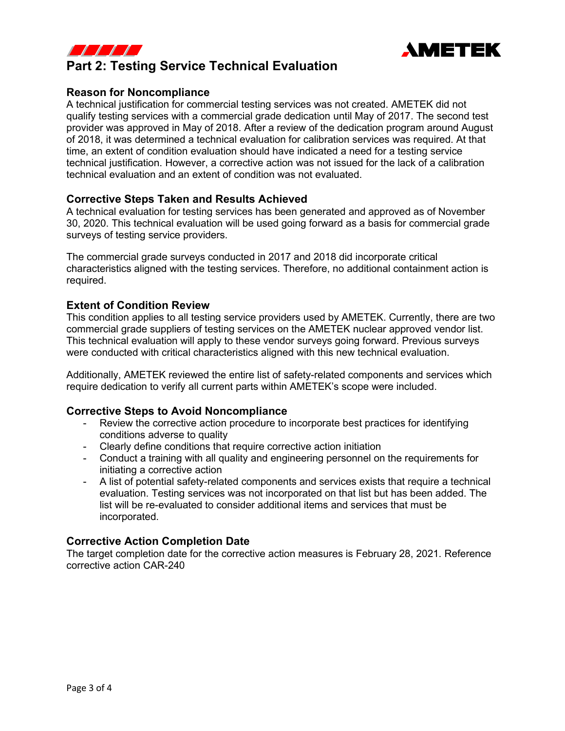



## **Reason for Noncompliance**

A technical justification for commercial testing services was not created. AMETEK did not qualify testing services with a commercial grade dedication until May of 2017. The second test provider was approved in May of 2018. After a review of the dedication program around August of 2018, it was determined a technical evaluation for calibration services was required. At that time, an extent of condition evaluation should have indicated a need for a testing service technical justification. However, a corrective action was not issued for the lack of a calibration technical evaluation and an extent of condition was not evaluated.

**AMETEK** 

## **Corrective Steps Taken and Results Achieved**

A technical evaluation for testing services has been generated and approved as of November 30, 2020. This technical evaluation will be used going forward as a basis for commercial grade surveys of testing service providers.

The commercial grade surveys conducted in 2017 and 2018 did incorporate critical characteristics aligned with the testing services. Therefore, no additional containment action is required.

## **Extent of Condition Review**

This condition applies to all testing service providers used by AMETEK. Currently, there are two commercial grade suppliers of testing services on the AMETEK nuclear approved vendor list. This technical evaluation will apply to these vendor surveys going forward. Previous surveys were conducted with critical characteristics aligned with this new technical evaluation.

Additionally, AMETEK reviewed the entire list of safety-related components and services which require dedication to verify all current parts within AMETEK's scope were included.

#### **Corrective Steps to Avoid Noncompliance**

- Review the corrective action procedure to incorporate best practices for identifying conditions adverse to quality
- Clearly define conditions that require corrective action initiation
- Conduct a training with all quality and engineering personnel on the requirements for initiating a corrective action
- A list of potential safety-related components and services exists that require a technical evaluation. Testing services was not incorporated on that list but has been added. The list will be re-evaluated to consider additional items and services that must be incorporated.

## **Corrective Action Completion Date**

The target completion date for the corrective action measures is February 28, 2021. Reference corrective action CAR-240